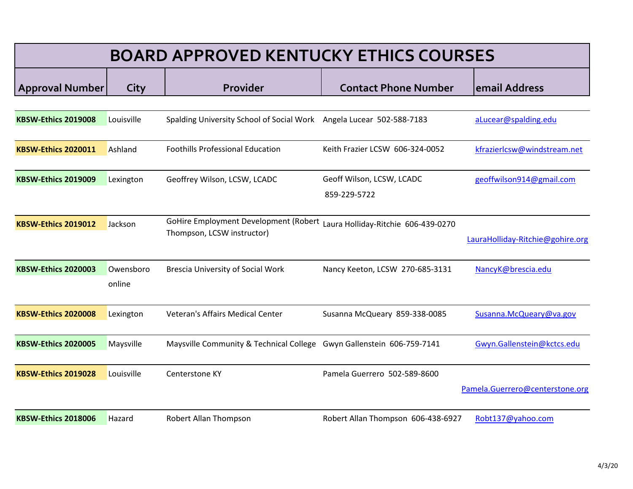| <b>BOARD APPROVED KENTUCKY ETHICS COURSES</b> |                     |                                                                                                         |                                           |                                  |  |  |
|-----------------------------------------------|---------------------|---------------------------------------------------------------------------------------------------------|-------------------------------------------|----------------------------------|--|--|
| <b>Approval Number</b>                        | City                | Provider                                                                                                | <b>Contact Phone Number</b>               | email Address                    |  |  |
| <b>KBSW-Ethics 2019008</b>                    | Louisville          | Spalding University School of Social Work Angela Lucear 502-588-7183                                    |                                           | aLucear@spalding.edu             |  |  |
| <b>KBSW-Ethics 2020011</b>                    | Ashland             | <b>Foothills Professional Education</b>                                                                 | Keith Frazier LCSW 606-324-0052           | kfrazierlcsw@windstream.net      |  |  |
| <b>KBSW-Ethics 2019009</b>                    | Lexington           | Geoffrey Wilson, LCSW, LCADC                                                                            | Geoff Wilson, LCSW, LCADC<br>859-229-5722 | geoffwilson914@gmail.com         |  |  |
| KBSW-Ethics 2019012                           | Jackson             | GoHire Employment Development (Robert Laura Holliday-Ritchie 606-439-0270<br>Thompson, LCSW instructor) |                                           | LauraHolliday-Ritchie@gohire.org |  |  |
| <b>KBSW-Ethics 2020003</b>                    | Owensboro<br>online | Brescia University of Social Work                                                                       | Nancy Keeton, LCSW 270-685-3131           | NancyK@brescia.edu               |  |  |
| <b>KBSW-Ethics 2020008</b>                    | Lexington           | Veteran's Affairs Medical Center                                                                        | Susanna McQueary 859-338-0085             | Susanna.McQueary@va.gov          |  |  |
| KBSW-Ethics 2020005                           | Maysville           | Maysville Community & Technical College Gwyn Gallenstein 606-759-7141                                   |                                           | Gwyn.Gallenstein@kctcs.edu       |  |  |
| <b>KBSW-Ethics 2019028</b>                    | Louisville          | Centerstone KY                                                                                          | Pamela Guerrero 502-589-8600              | Pamela.Guerrero@centerstone.org  |  |  |
| <b>KBSW-Ethics 2018006</b>                    | Hazard              | Robert Allan Thompson                                                                                   | Robert Allan Thompson 606-438-6927        | Robt137@yahoo.com                |  |  |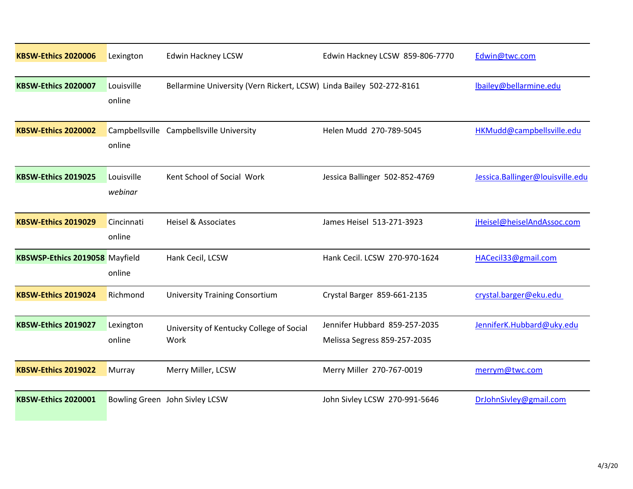| <b>KBSW-Ethics 2020006</b>            | Lexington             | <b>Edwin Hackney LCSW</b>                                            | Edwin Hackney LCSW 859-806-7770                               | Edwin@twc.com                    |
|---------------------------------------|-----------------------|----------------------------------------------------------------------|---------------------------------------------------------------|----------------------------------|
| <b>KBSW-Ethics 2020007</b>            | Louisville<br>online  | Bellarmine University (Vern Rickert, LCSW) Linda Bailey 502-272-8161 |                                                               | lbailey@bellarmine.edu           |
| <b>KBSW-Ethics 2020002</b>            | online                | Campbellsville Campbellsville University                             | Helen Mudd 270-789-5045                                       | HKMudd@campbellsville.edu        |
| <b>KBSW-Ethics 2019025</b>            | Louisville<br>webinar | Kent School of Social Work                                           | Jessica Ballinger 502-852-4769                                | Jessica.Ballinger@louisville.edu |
| <b>KBSW-Ethics 2019029</b>            | Cincinnati<br>online  | <b>Heisel &amp; Associates</b>                                       | James Heisel 513-271-3923                                     | jHeisel@heiselAndAssoc.com       |
| <b>KBSWSP-Ethics 2019058</b> Mayfield | online                | Hank Cecil, LCSW                                                     | Hank Cecil. LCSW 270-970-1624                                 | HACecil33@gmail.com              |
| KBSW-Ethics 2019024                   | Richmond              | <b>University Training Consortium</b>                                | Crystal Barger 859-661-2135                                   | crystal.barger@eku.edu           |
| KBSW-Ethics 2019027                   | Lexington<br>online   | University of Kentucky College of Social<br>Work                     | Jennifer Hubbard 859-257-2035<br>Melissa Segress 859-257-2035 | JenniferK.Hubbard@uky.edu        |
| KBSW-Ethics 2019022                   | Murray                | Merry Miller, LCSW                                                   | Merry Miller 270-767-0019                                     | merrym@twc.com                   |
| <b>KBSW-Ethics 2020001</b>            |                       | Bowling Green John Sivley LCSW                                       | John Sivley LCSW 270-991-5646                                 | DrJohnSivley@gmail.com           |